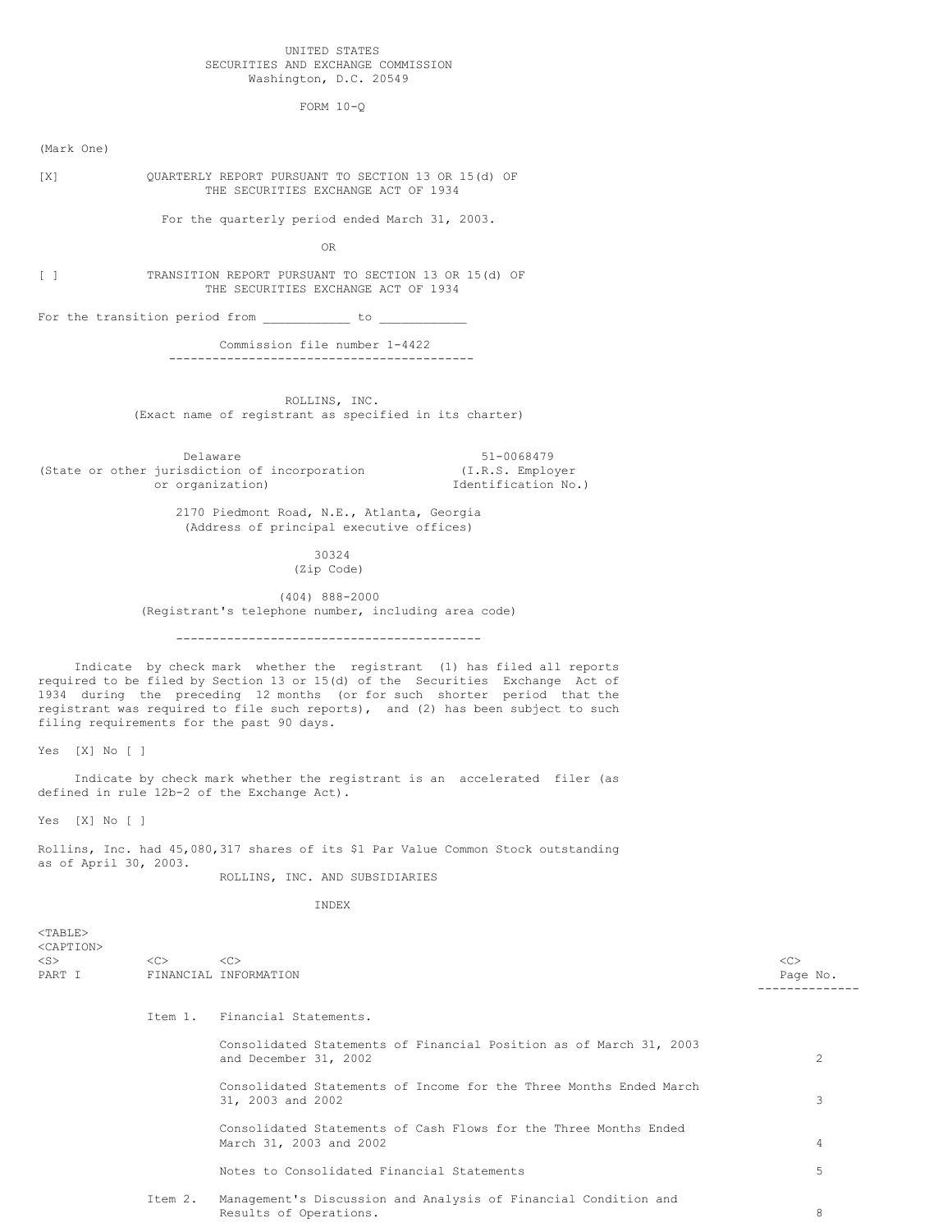#### UNITED STATES SECURITIES AND EXCHANGE COMMISSION Washington, D.C. 20549

FORM 10-Q

(Mark One)

[X] QUARTERLY REPORT PURSUANT TO SECTION 13 OR 15(d) OF THE SECURITIES EXCHANGE ACT OF 1934

For the quarterly period ended March 31, 2003.

OR

[ ] TRANSITION REPORT PURSUANT TO SECTION 13 OR 15(d) OF THE SECURITIES EXCHANGE ACT OF 1934

For the transition period from  $\frac{\ }{\ }$  to  $\frac{\ }{\ }$ 

Commission file number 1-4422 ------------------------------------------

ROLLINS, INC. (Exact name of registrant as specified in its charter)

Delaware 51-0068479 (State or other jurisdiction of incorporation (I.R.S. Employer or organization) Identification No Identification No.)

> 2170 Piedmont Road, N.E., Atlanta, Georgia (Address of principal executive offices)

> > 30324 (Zip Code)

(404) 888-2000 (Registrant's telephone number, including area code)

------------------------------------------

Indicate by check mark whether the registrant (1) has filed all reports required to be filed by Section 13 or 15(d) of the Securities Exchange Act of 1934 during the preceding 12 months (or for such shorter period that the registrant was required to file such reports), and (2) has been subject to such filing requirements for the past 90 days.

Yes [X] No [ ]

Indicate by check mark whether the registrant is an accelerated filer (as defined in rule 12b-2 of the Exchange Act).

Yes [X] No [ ]

Rollins, Inc. had 45,080,317 shares of its \$1 Par Value Common Stock outstanding as of April 30, 2003. ROLLINS, INC. AND SUBSIDIARIES

INDEX

| $<$ TABLE><br><caption></caption> |               |                                                                                             |                         |
|-----------------------------------|---------------|---------------------------------------------------------------------------------------------|-------------------------|
| $<$ S $>$                         | < <sub></sub> | <<                                                                                          | <<                      |
| PART I                            |               | FINANCIAL INFORMATION                                                                       | Page No.<br>----------- |
|                                   | Item 1.       | Financial Statements.                                                                       |                         |
|                                   |               | Consolidated Statements of Financial Position as of March 31, 2003<br>and December 31, 2002 | 2                       |
|                                   |               | Consolidated Statements of Income for the Three Months Ended March<br>31, 2003 and 2002     | 3                       |
|                                   |               | Consolidated Statements of Cash Flows for the Three Months Ended<br>March 31, 2003 and 2002 | 4                       |
|                                   |               | Notes to Consolidated Financial Statements                                                  | 5                       |
|                                   | Item 2.       | Management's Discussion and Analysis of Financial Condition and<br>Results of Operations.   | 8                       |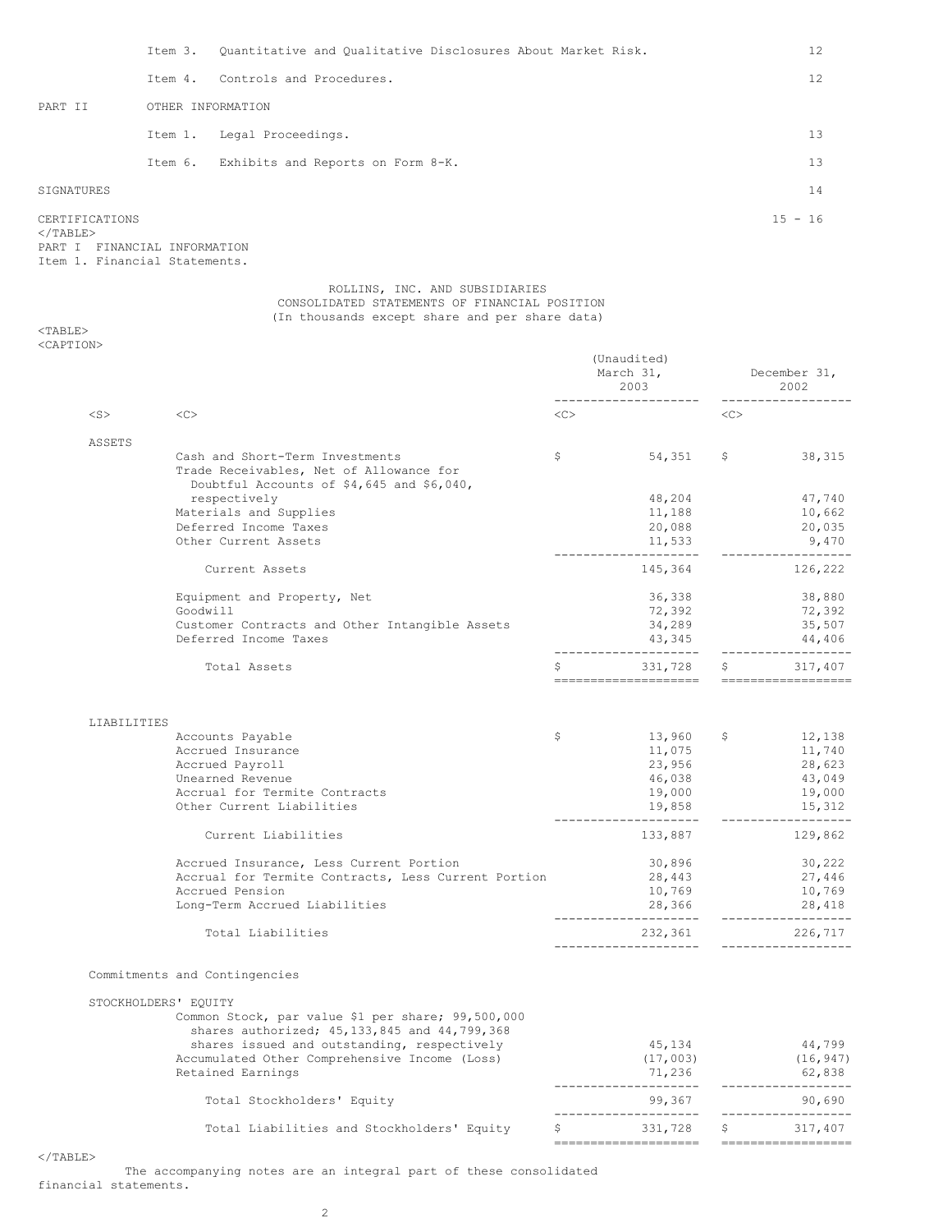|                                                                     | Item 3.           | Ouantitative and Oualitative Disclosures About Market Risk. | 12                |
|---------------------------------------------------------------------|-------------------|-------------------------------------------------------------|-------------------|
|                                                                     | Item 4.           | Controls and Procedures.                                    | $12 \overline{ }$ |
| PART II                                                             | OTHER INFORMATION |                                                             |                   |
|                                                                     | Item 1.           | Legal Proceedings.                                          | 13                |
|                                                                     | Item 6.           | Exhibits and Reports on Form 8-K.                           | 13                |
| SIGNATURES                                                          |                   |                                                             | 14                |
| CERTIFICATIONS<br>$\langle$ /TABLE><br>PART I FINANCIAL INFORMATION |                   |                                                             | $-16$<br>1.5      |

Item 1. Financial Statements.

## ROLLINS, INC. AND SUBSIDIARIES CONSOLIDATED STATEMENTS OF FINANCIAL POSITION (In thousands except share and per share data)

 $<$ TABLE $>$  $<$ CAPT

| 1'ION>      |                                                                                                                                                                                                                                                                                                                                              |                     | (Unaudited)<br>March 31,<br>2003<br>---------------------                                                                                                                     |              | December 31,<br>2002                                                                                                                                                                  |
|-------------|----------------------------------------------------------------------------------------------------------------------------------------------------------------------------------------------------------------------------------------------------------------------------------------------------------------------------------------------|---------------------|-------------------------------------------------------------------------------------------------------------------------------------------------------------------------------|--------------|---------------------------------------------------------------------------------------------------------------------------------------------------------------------------------------|
| $<$ S $>$   | <<                                                                                                                                                                                                                                                                                                                                           | <<>                 |                                                                                                                                                                               | <<           |                                                                                                                                                                                       |
| ASSETS      |                                                                                                                                                                                                                                                                                                                                              |                     |                                                                                                                                                                               |              |                                                                                                                                                                                       |
|             | Cash and Short-Term Investments<br>Trade Receivables, Net of Allowance for<br>Doubtful Accounts of \$4,645 and \$6,040,                                                                                                                                                                                                                      | \$                  | $54,351$ \$                                                                                                                                                                   |              | 38, 315                                                                                                                                                                               |
|             | respectively                                                                                                                                                                                                                                                                                                                                 |                     | 48,204                                                                                                                                                                        |              | 47,740                                                                                                                                                                                |
|             | Materials and Supplies                                                                                                                                                                                                                                                                                                                       |                     | 11,188                                                                                                                                                                        |              | 10,662                                                                                                                                                                                |
|             | Deferred Income Taxes                                                                                                                                                                                                                                                                                                                        |                     | 20,088                                                                                                                                                                        |              | 20,035                                                                                                                                                                                |
|             | Other Current Assets                                                                                                                                                                                                                                                                                                                         |                     | 11,533                                                                                                                                                                        |              | 9,470<br>------------------                                                                                                                                                           |
|             | Current Assets                                                                                                                                                                                                                                                                                                                               |                     | 145,364                                                                                                                                                                       |              | 126,222                                                                                                                                                                               |
|             | Equipment and Property, Net                                                                                                                                                                                                                                                                                                                  |                     | 36,338                                                                                                                                                                        |              | 38,880                                                                                                                                                                                |
|             | Goodwill                                                                                                                                                                                                                                                                                                                                     |                     | 72,392                                                                                                                                                                        |              | 72,392                                                                                                                                                                                |
|             | Customer Contracts and Other Intangible Assets                                                                                                                                                                                                                                                                                               |                     | 34,289                                                                                                                                                                        |              | 35,507                                                                                                                                                                                |
|             | Deferred Income Taxes                                                                                                                                                                                                                                                                                                                        |                     | 43,345                                                                                                                                                                        |              | 44,406                                                                                                                                                                                |
|             | Total Assets                                                                                                                                                                                                                                                                                                                                 |                     | ---------------------<br>$$331,728$ \$ 317,407<br>------------------                                                                                                          |              | ------------------<br>==================                                                                                                                                              |
| LIABILITIES | Accounts Payable<br>Accrued Insurance<br>Accrued Payroll<br>Unearned Revenue<br>Accrual for Termite Contracts<br>Other Current Liabilities<br>Current Liabilities<br>Accrued Insurance, Less Current Portion<br>Accrual for Termite Contracts, Less Current Portion<br>Accrued Pension<br>Long-Term Accrued Liabilities<br>Total Liabilities | $\ddot{\mathsf{S}}$ | $13,960$ \$<br>11,075<br>23,956<br>46,038<br>19,000<br>19,858<br>---------------------<br>133,887<br>30,896<br>28,443<br>10,769<br>28,366<br>---------------------<br>232,361 |              | 12,138<br>11,740<br>28,623<br>43,049<br>19,000<br>15, 312<br>------------------<br>129,862<br>30,222<br>27,446<br>10,769<br>28,418<br>------------------<br>226,717<br>-------------- |
|             | Commitments and Contingencies                                                                                                                                                                                                                                                                                                                |                     |                                                                                                                                                                               |              |                                                                                                                                                                                       |
|             | STOCKHOLDERS' EQUITY<br>Common Stock, par value \$1 per share; 99,500,000<br>shares authorized; 45, 133, 845 and 44, 799, 368<br>shares issued and outstanding, respectively<br>Accumulated Other Comprehensive Income (Loss)<br>Retained Earnings                                                                                           |                     | 45,134<br>(17,003)<br>71,236                                                                                                                                                  |              | 44,799<br>(16, 947)<br>62,838                                                                                                                                                         |
|             | Total Stockholders' Equity                                                                                                                                                                                                                                                                                                                   |                     | --------------------<br>99,367                                                                                                                                                |              | ------------------<br>90,690                                                                                                                                                          |
|             | Total Liabilities and Stockholders' Equity                                                                                                                                                                                                                                                                                                   | $\mathsf{S}$        | ---------------------<br>331,728                                                                                                                                              | $\mathsf{S}$ | -------------------<br>317,407                                                                                                                                                        |
|             |                                                                                                                                                                                                                                                                                                                                              |                     |                                                                                                                                                                               |              |                                                                                                                                                                                       |

 $<$ /TABLE $>$ 

The accompanying notes are an integral part of these consolidated financial statements.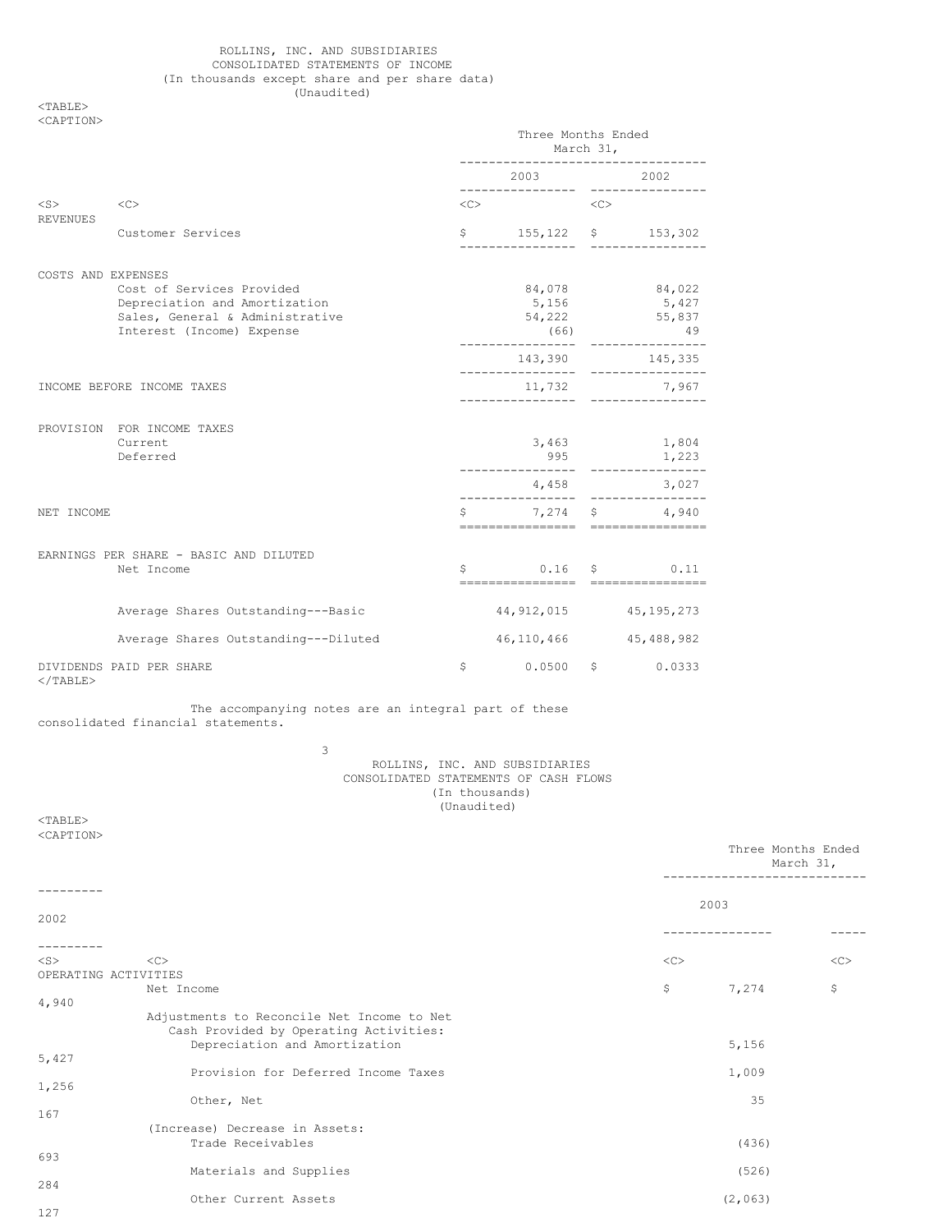## ROLLINS, INC. AND SUBSIDIARIES CONSOLIDATED STATEMENTS OF INCOME (In thousands except share and per share data) (Unaudited)

<TABLE> <CAPTION>

|                                         |                                                                                                                            | Three Months Ended<br>March 31, |                                                    |                   |                                    |
|-----------------------------------------|----------------------------------------------------------------------------------------------------------------------------|---------------------------------|----------------------------------------------------|-------------------|------------------------------------|
|                                         |                                                                                                                            |                                 | 2003<br>---------                                  |                   | 2002<br>. <u>.</u>                 |
| $<$ S $>$<br>$<<$ C><br><b>REVENUES</b> |                                                                                                                            | $<\infty>$                      |                                                    | $<$ C $>$         |                                    |
|                                         | Customer Services                                                                                                          | \$                              | $155, 122$ \$ $153, 302$                           |                   |                                    |
| COSTS AND EXPENSES                      |                                                                                                                            |                                 |                                                    |                   |                                    |
|                                         | Cost of Services Provided<br>Depreciation and Amortization<br>Sales, General & Administrative<br>Interest (Income) Expense |                                 | 84,078<br>5,156<br>54,222<br>(66)<br>------------- |                   | 84,022<br>5,427<br>55,837<br>49    |
|                                         |                                                                                                                            |                                 | 143,390<br>------<br>--------                      |                   | 145,335                            |
|                                         | INCOME BEFORE INCOME TAXES                                                                                                 |                                 | 11,732<br>--------------                           |                   | 7,967                              |
|                                         | PROVISION FOR INCOME TAXES<br>Current<br>Deferred                                                                          | 3,463<br>995                    |                                                    |                   | 1,804<br>1,223                     |
|                                         |                                                                                                                            |                                 | 4,458                                              |                   | 3,027                              |
| NET INCOME                              |                                                                                                                            | Š.                              | -----------------                                  |                   | 7,274 \$ 4,940<br>================ |
|                                         | EARNINGS PER SHARE - BASIC AND DILUTED<br>Net Income                                                                       | \$                              | 0.16<br>------------------                         | $S \qquad \qquad$ | 0.11<br>=============              |
|                                         | Average Shares Outstanding---Basic                                                                                         |                                 |                                                    |                   | 44, 912, 015 45, 195, 273          |
|                                         | Average Shares Outstanding---Diluted                                                                                       |                                 |                                                    |                   | 46, 110, 466 45, 488, 982          |
|                                         | DIVIDENDS PAID PER SHARE                                                                                                   | \$                              | 0.0500                                             | \$                | 0.0333                             |

 $<$ /TABLE>

The accompanying notes are an integral part of these consolidated financial statements.

3

ROLLINS, INC. AND SUBSIDIARIES CONSOLIDATED STATEMENTS OF CASH FLOWS (In thousands) (Unaudited)

<TABLE> <CAPTION>

|                      |                                                                                      |    | Three Months Ended | March 31, |
|----------------------|--------------------------------------------------------------------------------------|----|--------------------|-----------|
|                      |                                                                                      |    | 2003               |           |
| 2002                 |                                                                                      |    |                    |           |
|                      |                                                                                      |    |                    |           |
| $<$ S $>$            | < <sub></sub>                                                                        | << |                    | <<        |
| OPERATING ACTIVITIES |                                                                                      |    |                    |           |
|                      | Net Income                                                                           | \$ | 7,274              | \$        |
| 4,940                |                                                                                      |    |                    |           |
|                      | Adjustments to Reconcile Net Income to Net<br>Cash Provided by Operating Activities: |    |                    |           |
|                      | Depreciation and Amortization                                                        |    | 5,156              |           |
| 5,427                |                                                                                      |    |                    |           |
|                      | Provision for Deferred Income Taxes                                                  |    | 1,009              |           |
| 1,256                |                                                                                      |    |                    |           |
|                      | Other, Net                                                                           |    | 35                 |           |
| 167                  |                                                                                      |    |                    |           |
|                      | (Increase) Decrease in Assets:                                                       |    |                    |           |
|                      | Trade Receivables                                                                    |    | (436)              |           |
| 693                  |                                                                                      |    |                    |           |
|                      | Materials and Supplies                                                               |    | (526)              |           |
| 284                  |                                                                                      |    |                    |           |
|                      | Other Current Assets                                                                 |    | (2, 063)           |           |
| 127                  |                                                                                      |    |                    |           |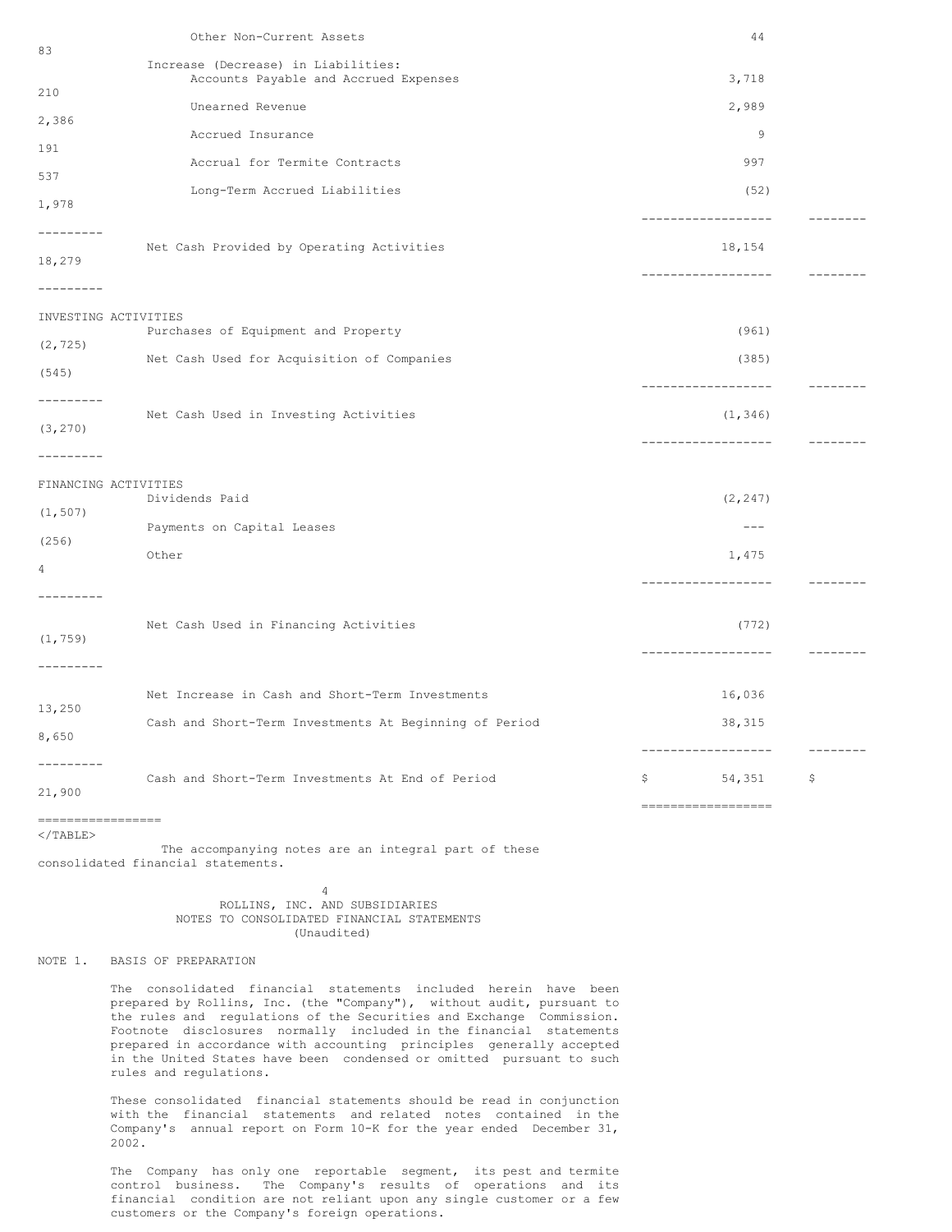|                      | Other Non-Current Assets                               | 44                  |                   |
|----------------------|--------------------------------------------------------|---------------------|-------------------|
| 83                   | Increase (Decrease) in Liabilities:                    |                     |                   |
| 210                  | Accounts Payable and Accrued Expenses                  | 3,718               |                   |
| 2,386                | Unearned Revenue                                       | 2,989               |                   |
| 191                  | Accrued Insurance                                      | 9                   |                   |
| 537                  | Accrual for Termite Contracts                          | 997                 |                   |
|                      | Long-Term Accrued Liabilities                          | (52)                |                   |
| 1,978                |                                                        | ------------------- |                   |
| ----------           | Net Cash Provided by Operating Activities              | 18,154              |                   |
| 18,279               |                                                        | ------------------  | $- - - - - - - -$ |
| --------             |                                                        |                     |                   |
| INVESTING ACTIVITIES |                                                        |                     |                   |
| (2, 725)             | Purchases of Equipment and Property                    | (961)               |                   |
| (545)                | Net Cash Used for Acquisition of Companies             | (385)               |                   |
| ---------            |                                                        | ------------------- |                   |
| (3, 270)             | Net Cash Used in Investing Activities                  | (1, 346)            |                   |
| --------             |                                                        | ------------------  |                   |
|                      |                                                        |                     |                   |
| FINANCING ACTIVITIES | Dividends Paid                                         | (2, 247)            |                   |
| (1, 507)             | Payments on Capital Leases                             | $- - -$             |                   |
| (256)                | Other                                                  | 1,475               |                   |
| 4                    |                                                        | ----------------    | --------          |
| ---------            |                                                        |                     |                   |
|                      | Net Cash Used in Financing Activities                  | (772)               |                   |
| (1, 759)             |                                                        | ------------------  | --------          |
| --------             |                                                        |                     |                   |
| 13,250               | Net Increase in Cash and Short-Term Investments        | 16,036              |                   |
|                      | Cash and Short-Term Investments At Beginning of Period | 38,315              |                   |
| 8,650                |                                                        |                     | --------          |
| ---------            | Cash and Short-Term Investments At End of Period       | 54,351<br>\$.       | \$                |
| 21,900               |                                                        | ==================  |                   |

=================  $\langle$ /TABLE $>$ 

The accompanying notes are an integral part of these consolidated financial statements.

> 4 ROLLINS, INC. AND SUBSIDIARIES NOTES TO CONSOLIDATED FINANCIAL STATEMENTS (Unaudited)

## NOTE 1. BASIS OF PREPARATION

The consolidated financial statements included herein have been prepared by Rollins, Inc. (the "Company"), without audit, pursuant to the rules and regulations of the Securities and Exchange Commission. Footnote disclosures normally included in the financial statements prepared in accordance with accounting principles generally accepted in the United States have been condensed or omitted pursuant to such rules and regulations.

These consolidated financial statements should be read in conjunction with the financial statements and related notes contained in the Company's annual report on Form 10-K for the year ended December 31, 2002.

The Company has only one reportable segment, its pest and termite control business. The Company's results of operations and its financial condition are not reliant upon any single customer or a few customers or the Company's foreign operations.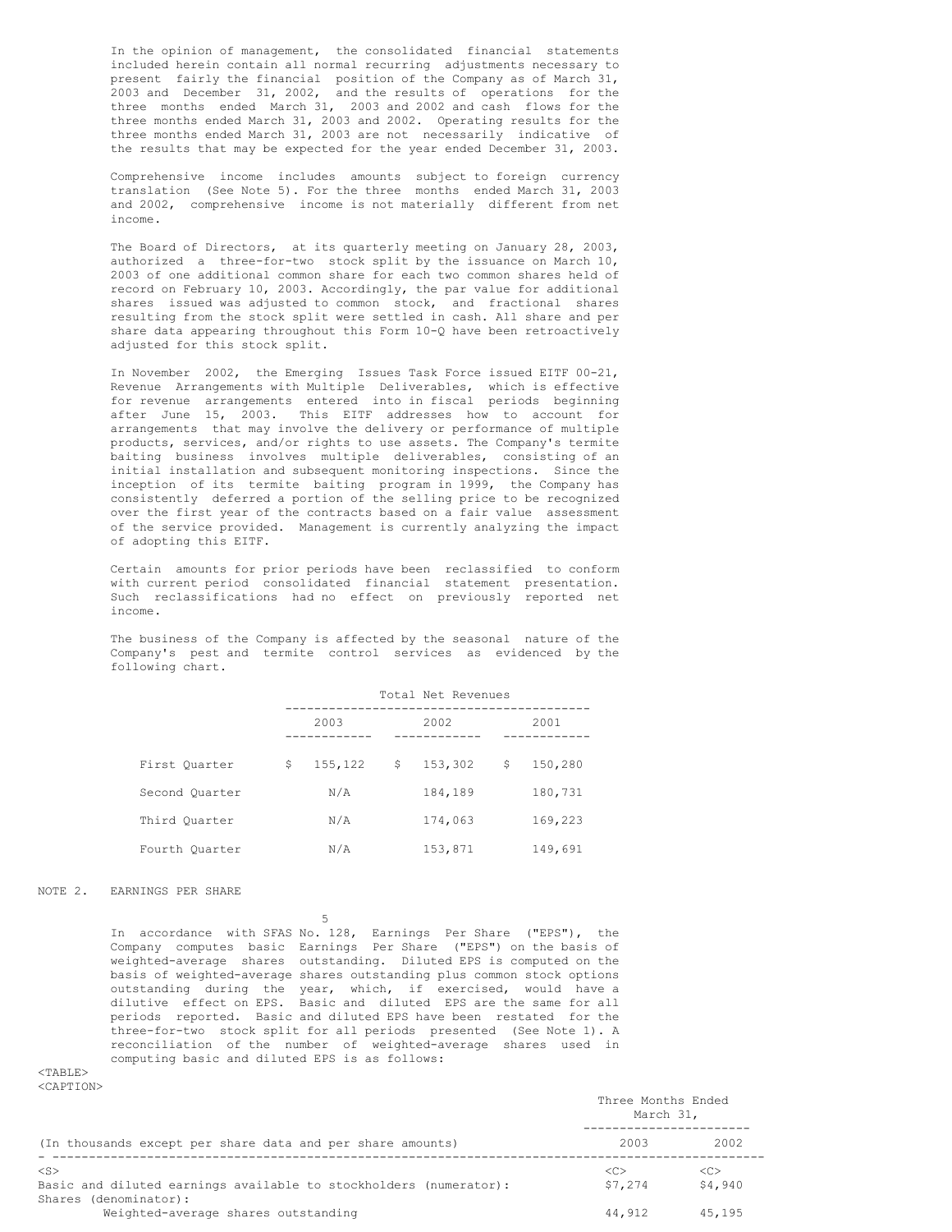In the opinion of management, the consolidated financial statements included herein contain all normal recurring adjustments necessary to present fairly the financial position of the Company as of March 31, 2003 and December 31, 2002, and the results of operations for the three months ended March 31, 2003 and 2002 and cash flows for the three months ended March 31, 2003 and 2002. Operating results for the three months ended March 31, 2003 are not necessarily indicative of the results that may be expected for the year ended December 31, 2003.

Comprehensive income includes amounts subject to foreign currency translation (See Note 5). For the three months ended March 31, 2003 and 2002, comprehensive income is not materially different from net income.

The Board of Directors, at its quarterly meeting on January 28, 2003, authorized a three-for-two stock split by the issuance on March 10, 2003 of one additional common share for each two common shares held of record on February 10, 2003. Accordingly, the par value for additional shares issued was adjusted to common stock, and fractional shares resulting from the stock split were settled in cash. All share and per share data appearing throughout this Form 10-Q have been retroactively adjusted for this stock split.

In November 2002, the Emerging Issues Task Force issued EITF 00-21, Revenue Arrangements with Multiple Deliverables, which is effective for revenue arrangements entered into in fiscal periods beginning after June 15, 2003. This EITF addresses how to account for arrangements that may involve the delivery or performance of multiple products, services, and/or rights to use assets. The Company's termite baiting business involves multiple deliverables, consisting of an initial installation and subsequent monitoring inspections. Since the inception of its termite baiting program in 1999, the Company has consistently deferred a portion of the selling price to be recognized over the first year of the contracts based on a fair value assessment of the service provided. Management is currently analyzing the impact of adopting this EITF.

Certain amounts for prior periods have been reclassified to conform with current period consolidated financial statement presentation. Such reclassifications had no effect on previously reported net income.

The business of the Company is affected by the seasonal nature of the Company's pest and termite control services as evidenced by the following chart.

|                |   |         | Total Net Revenues |               |
|----------------|---|---------|--------------------|---------------|
|                |   | 2003    | 2002               | 2001          |
| First Quarter  | S | 155,122 | \$<br>153,302      | \$<br>150,280 |
| Second Ouarter |   | N/A     | 184,189            | 180,731       |
| Third Ouarter  |   | N/A     | 174,063            | 169,223       |
| Fourth Ouarter |   | N/A     | 153,871            | 149,691       |

#### NOTE 2. EARNINGS PER SHARE

5

In accordance with SFAS No. 128, Earnings Per Share ("EPS"), the Company computes basic Earnings Per Share ("EPS") on the basis of weighted-average shares outstanding. Diluted EPS is computed on the basis of weighted-average shares outstanding plus common stock options outstanding during the year, which, if exercised, would have a dilutive effect on EPS. Basic and diluted EPS are the same for all periods reported. Basic and diluted EPS have been restated for the three-for-two stock split for all periods presented (See Note 1). A reconciliation of the number of weighted-average shares used in computing basic and diluted EPS is as follows:

 $<$ TABLE>

<CAPTION>

|                                                                                                            | THTEE MONTHS PHAEM<br>March 31, |                |  |
|------------------------------------------------------------------------------------------------------------|---------------------------------|----------------|--|
| (In thousands except per share data and per share amounts)                                                 | 2003                            | 2002           |  |
| $<$ S $>$<br>Basic and diluted earnings available to stockholders (numerator):<br>(denominator):<br>Shares | < <sub><br/>\$7,274</sub>       | <<><br>\$4,940 |  |
| Weighted-average shares outstanding                                                                        | 44,912                          | 45,195         |  |

Three Months Ended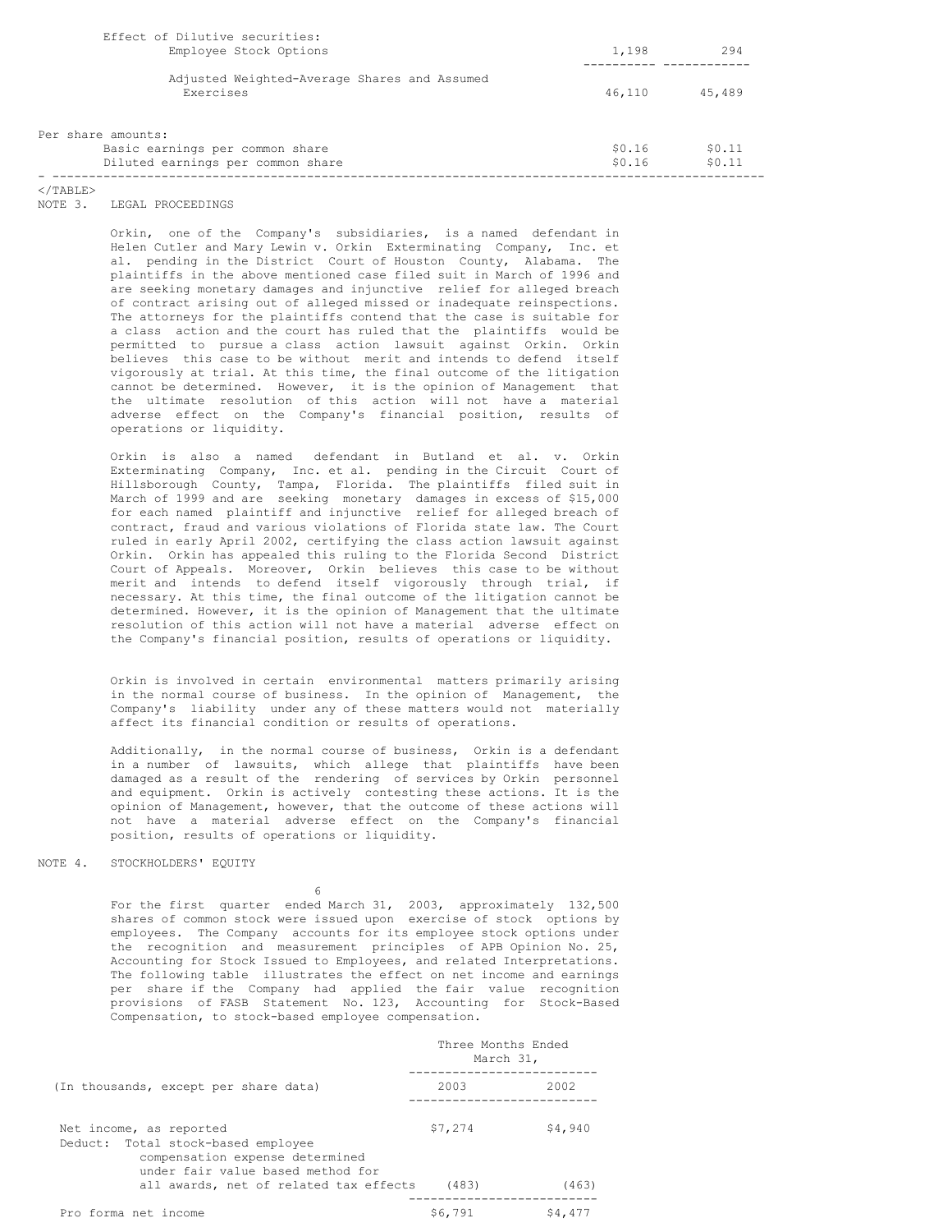| 45,489 |        |
|--------|--------|
| \$0.11 |        |
|        | \$0.11 |

</TABLE><br>NOTE 3.

LEGAL PROCEEDINGS

Orkin, one of the Company's subsidiaries, is a named defendant in Helen Cutler and Mary Lewin v. Orkin Exterminating Company, Inc. et al. pending in the District Court of Houston County, Alabama. The plaintiffs in the above mentioned case filed suit in March of 1996 and are seeking monetary damages and injunctive relief for alleged breach of contract arising out of alleged missed or inadequate reinspections. The attorneys for the plaintiffs contend that the case is suitable for a class action and the court has ruled that the plaintiffs would be permitted to pursue a class action lawsuit against Orkin. Orkin believes this case to be without merit and intends to defend itself vigorously at trial. At this time, the final outcome of the litigation cannot be determined. However, it is the opinion of Management that the ultimate resolution of this action will not have a material adverse effect on the Company's financial position, results of operations or liquidity.

Orkin is also a named defendant in Butland et al. v. Orkin Exterminating Company, Inc. et al. pending in the Circuit Court of Hillsborough County, Tampa, Florida. The plaintiffs filed suit in March of 1999 and are seeking monetary damages in excess of \$15,000 for each named plaintiff and injunctive relief for alleged breach of contract, fraud and various violations of Florida state law. The Court ruled in early April 2002, certifying the class action lawsuit against Orkin. Orkin has appealed this ruling to the Florida Second District Court of Appeals. Moreover, Orkin believes this case to be without merit and intends to defend itself vigorously through trial, if necessary. At this time, the final outcome of the litigation cannot be determined. However, it is the opinion of Management that the ultimate resolution of this action will not have a material adverse effect on the Company's financial position, results of operations or liquidity.

Orkin is involved in certain environmental matters primarily arising in the normal course of business. In the opinion of Management, the Company's liability under any of these matters would not materially affect its financial condition or results of operations.

Additionally, in the normal course of business, Orkin is a defendant in a number of lawsuits, which allege that plaintiffs have been damaged as a result of the rendering of services by Orkin personnel and equipment. Orkin is actively contesting these actions. It is the opinion of Management, however, that the outcome of these actions will not have a material adverse effect on the Company's financial position, results of operations or liquidity.

NOTE 4. STOCKHOLDERS' EQUITY

6

For the first quarter ended March 31, 2003, approximately 132,500 shares of common stock were issued upon exercise of stock options by employees. The Company accounts for its employee stock options under the recognition and measurement principles of APB Opinion No. 25, Accounting for Stock Issued to Employees, and related Interpretations. The following table illustrates the effect on net income and earnings per share if the Company had applied the fair value recognition provisions of FASB Statement No. 123, Accounting for Stock-Based Compensation, to stock-based employee compensation.

|                                                                                                                                       | Three Months Ended<br>March 31, |         |
|---------------------------------------------------------------------------------------------------------------------------------------|---------------------------------|---------|
| (In thousands, except per share data)                                                                                                 | 2003                            | 2002    |
| Net income, as reported<br>Deduct: Total stock-based employee<br>compensation expense determined<br>under fair value based method for | \$7,274                         | \$4,940 |
| all awards, net of related tax effects                                                                                                | (483)                           | (463)   |
| Pro forma net income                                                                                                                  | \$6,791                         | \$4,477 |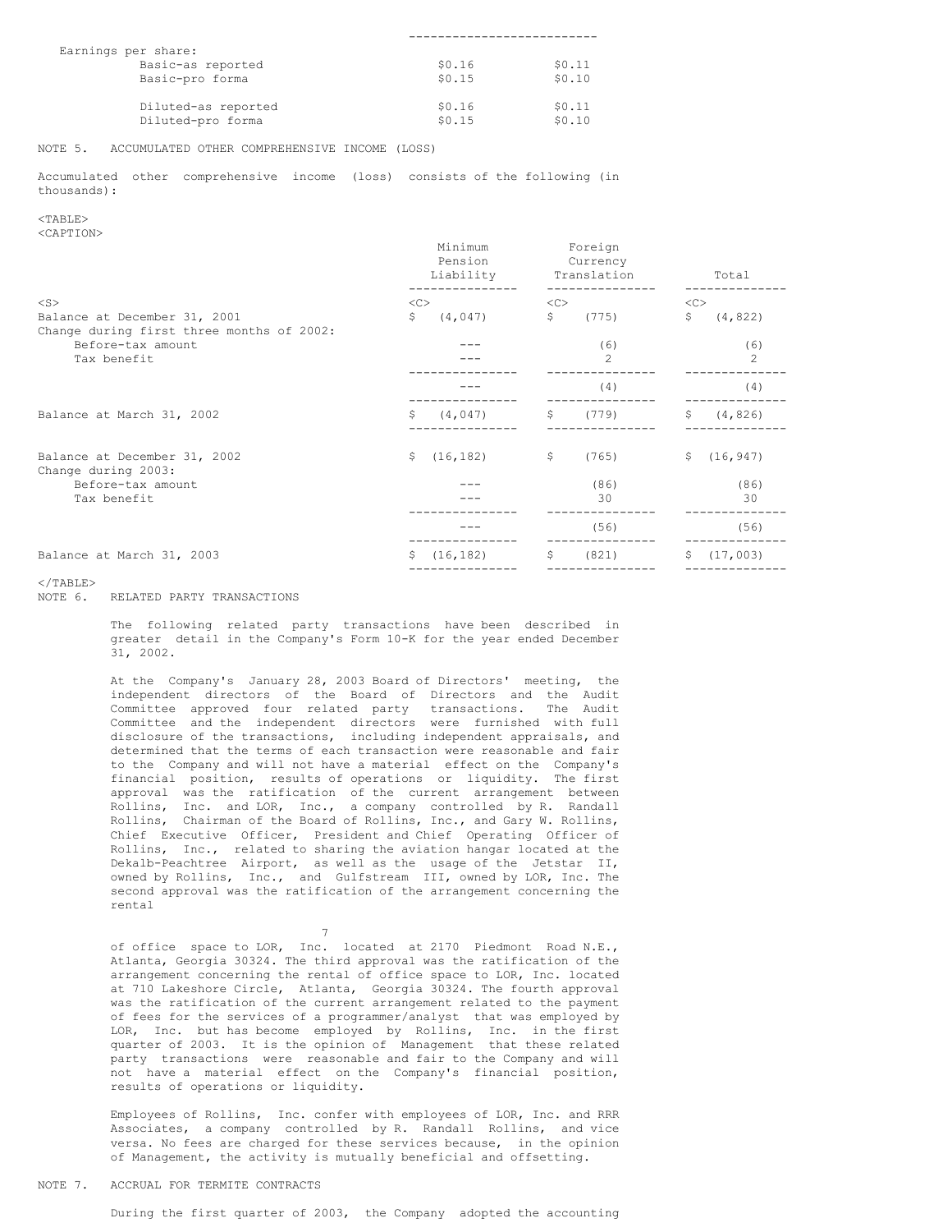| Earnings per share: |        |        |
|---------------------|--------|--------|
| Basic-as reported   | \$0.16 | \$0.11 |
| Basic-pro forma     | \$0.15 | \$0.10 |
| Diluted-as reported | \$0.16 | \$0.11 |
| Diluted-pro forma   | \$0.15 | \$0.10 |

#### NOTE 5. ACCUMULATED OTHER COMPREHENSIVE INCOME (LOSS)

Accumulated other comprehensive income (loss) consists of the following (in thousands):

#### <TABLE> <CAPTION>

|                                                                               | Minimum<br>Pension<br>Liability | Foreign<br>Currency<br>Translation | Total                 |
|-------------------------------------------------------------------------------|---------------------------------|------------------------------------|-----------------------|
| $<$ S $>$                                                                     | $<\!\!\rm C\!\!>$               | <<                                 | <<                    |
| Balance at December 31, 2001                                                  | \$<br>(4, 047)                  | $\mathsf{S}$<br>(775)              | \$<br>(4, 822)        |
| Change during first three months of 2002:<br>Before-tax amount<br>Tax benefit |                                 | (6)<br>$\overline{\mathcal{L}}$    | (6)<br>$\mathfrak{D}$ |
|                                                                               |                                 | (4)                                | (4)                   |
| Balance at March 31, 2002                                                     | (4, 047)<br>\$                  | (779)<br>\$                        | (4, 826)<br>\$.       |
| Balance at December 31, 2002<br>Change during 2003:                           | \$<br>(16, 182)                 | $\mathcal{S}$<br>(765)             | \$(16, 947)           |
| Before-tax amount<br>Tax benefit                                              |                                 | (86)<br>30                         | (86)<br>30            |
|                                                                               |                                 | (56)                               | (56)                  |
| Balance at March 31, 2003                                                     | (16, 182)<br>\$                 | \$<br>(821)                        | (17,003)<br>\$        |
|                                                                               |                                 |                                    |                       |

# $<$ /TABLE>

NOTE 6. RELATED PARTY TRANSACTIONS

The following related party transactions have been described in greater detail in the Company's Form 10-K for the year ended December 31, 2002.

At the Company's January 28, 2003 Board of Directors' meeting, the independent directors of the Board of Directors and the Audit Committee approved four related party transactions. The Audit Committee and the independent directors were furnished with full disclosure of the transactions, including independent appraisals, and determined that the terms of each transaction were reasonable and fair to the Company and will not have a material effect on the Company's financial position, results of operations or liquidity. The first approval was the ratification of the current arrangement between Rollins, Inc. and LOR, Inc., a company controlled by R. Randall Rollins, Chairman of the Board of Rollins, Inc., and Gary W. Rollins, Chief Executive Officer, President and Chief Operating Officer of Rollins, Inc., related to sharing the aviation hangar located at the Dekalb-Peachtree Airport, as well as the usage of the Jetstar II, owned by Rollins, Inc., and Gulfstream III, owned by LOR, Inc. The second approval was the ratification of the arrangement concerning the rental

of office space to LOR, Inc. located at 2170 Piedmont Road N.E., Atlanta, Georgia 30324. The third approval was the ratification of the arrangement concerning the rental of office space to LOR, Inc. located at 710 Lakeshore Circle, Atlanta, Georgia 30324. The fourth approval was the ratification of the current arrangement related to the payment of fees for the services of a programmer/analyst that was employed by LOR, Inc. but has become employed by Rollins, Inc. in the first quarter of 2003. It is the opinion of Management that these related party transactions were reasonable and fair to the Company and will not have a material effect on the Company's financial position, results of operations or liquidity.

7

Employees of Rollins, Inc. confer with employees of LOR, Inc. and RRR Associates, a company controlled by R. Randall Rollins, and vice versa. No fees are charged for these services because, in the opinion of Management, the activity is mutually beneficial and offsetting.

#### NOTE 7. ACCRUAL FOR TERMITE CONTRACTS

During the first quarter of 2003, the Company adopted the accounting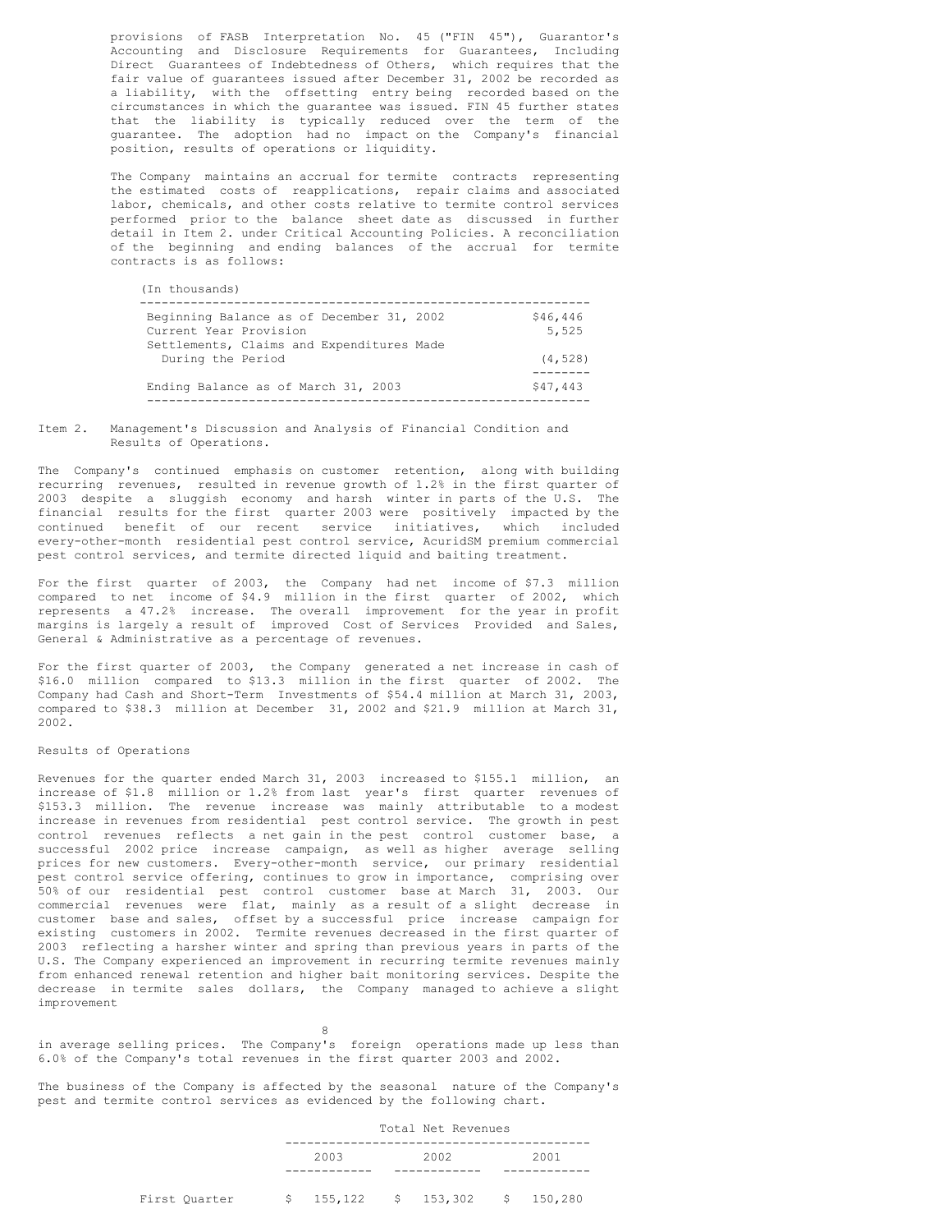provisions of FASB Interpretation No. 45 ("FIN 45"), Guarantor's Accounting and Disclosure Requirements for Guarantees, Including Direct Guarantees of Indebtedness of Others, which requires that the fair value of guarantees issued after December 31, 2002 be recorded as a liability, with the offsetting entry being recorded based on the circumstances in which the guarantee was issued. FIN 45 further states that the liability is typically reduced over the term of the guarantee. The adoption had no impact on the Company's financial position, results of operations or liquidity.

The Company maintains an accrual for termite contracts representing the estimated costs of reapplications, repair claims and associated labor, chemicals, and other costs relative to termite control services performed prior to the balance sheet date as discussed in further detail in Item 2. under Critical Accounting Policies. A reconciliation of the beginning and ending balances of the accrual for termite contracts is as follows:

| (In thousands)                                                      |                   |
|---------------------------------------------------------------------|-------------------|
| Beginning Balance as of December 31, 2002<br>Current Year Provision | \$46,446<br>5,525 |
| Settlements, Claims and Expenditures Made<br>During the Period      | (4, 528)          |
| Ending Balance as of March 31, 2003                                 | \$47.443          |

Item 2. Management's Discussion and Analysis of Financial Condition and Results of Operations.

The Company's continued emphasis on customer retention, along with building recurring revenues, resulted in revenue growth of 1.2% in the first quarter of 2003 despite a sluggish economy and harsh winter in parts of the U.S. The financial results for the first quarter 2003 were positively impacted by the continued benefit of our recent service initiatives, which included every-other-month residential pest control service, AcuridSM premium commercial pest control services, and termite directed liquid and baiting treatment.

For the first quarter of 2003, the Company had net income of \$7.3 million compared to net income of \$4.9 million in the first quarter of 2002, which represents a 47.2% increase. The overall improvement for the year in profit margins is largely a result of improved Cost of Services Provided and Sales, General & Administrative as a percentage of revenues.

For the first quarter of 2003, the Company generated a net increase in cash of \$16.0 million compared to \$13.3 million in the first quarter of 2002. The Company had Cash and Short-Term Investments of \$54.4 million at March 31, 2003, compared to \$38.3 million at December 31, 2002 and \$21.9 million at March 31, 2002.

## Results of Operations

Revenues for the quarter ended March 31, 2003 increased to \$155.1 million, an increase of \$1.8 million or 1.2% from last year's first quarter revenues of \$153.3 million. The revenue increase was mainly attributable to a modest increase in revenues from residential pest control service. The growth in pest control revenues reflects a net gain in the pest control customer base, a successful 2002 price increase campaign, as well as higher average selling prices for new customers. Every-other-month service, our primary residential pest control service offering, continues to grow in importance, comprising over 50% of our residential pest control customer base at March 31, 2003. Our commercial revenues were flat, mainly as a result of a slight decrease in customer base and sales, offset by a successful price increase campaign for existing customers in 2002. Termite revenues decreased in the first quarter of 2003 reflecting a harsher winter and spring than previous years in parts of the U.S. The Company experienced an improvement in recurring termite revenues mainly from enhanced renewal retention and higher bait monitoring services. Despite the decrease in termite sales dollars, the Company managed to achieve a slight improvement

8 in average selling prices. The Company's foreign operations made up less than 6.0% of the Company's total revenues in the first quarter 2003 and 2002.

The business of the Company is affected by the seasonal nature of the Company's pest and termite control services as evidenced by the following chart.

Total Net Revenues

|               | 2003                                   | 2002 | 2001 |
|---------------|----------------------------------------|------|------|
|               |                                        |      |      |
| First Ouarter | $155, 122$ \$ $153, 302$ \$ $150, 280$ |      |      |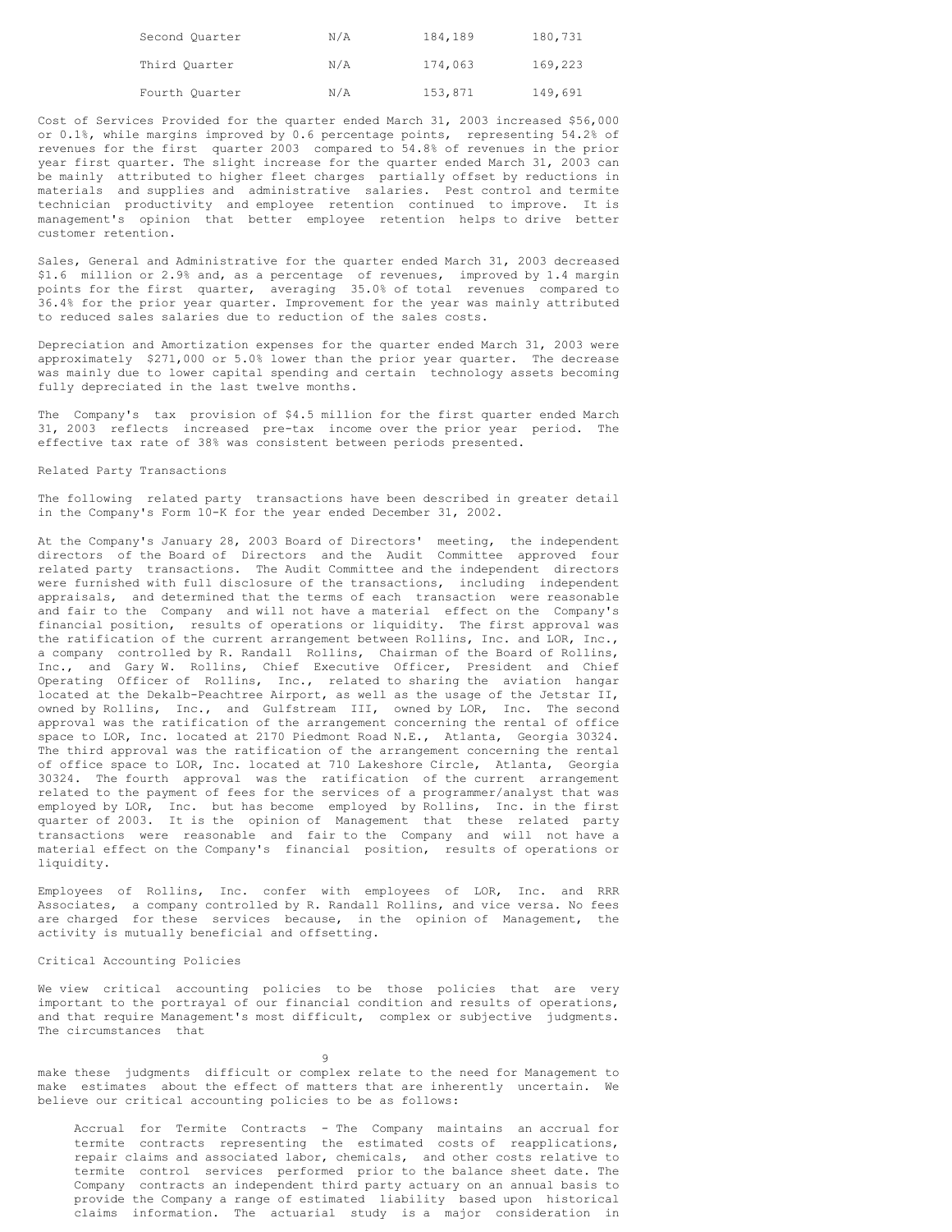| Second Ouarter | N/A | 184,189 | 180,731 |
|----------------|-----|---------|---------|
| Third Ouarter  | N/A | 174,063 | 169,223 |
| Fourth Ouarter | N/A | 153,871 | 149,691 |

Cost of Services Provided for the quarter ended March 31, 2003 increased \$56,000 or 0.1%, while margins improved by 0.6 percentage points, representing 54.2% of revenues for the first quarter 2003 compared to 54.8% of revenues in the prior year first quarter. The slight increase for the quarter ended March 31, 2003 can be mainly attributed to higher fleet charges partially offset by reductions in materials and supplies and administrative salaries. Pest control and termite technician productivity and employee retention continued to improve. It is management's opinion that better employee retention helps to drive better customer retention.

Sales, General and Administrative for the quarter ended March 31, 2003 decreased \$1.6 million or 2.9% and, as a percentage of revenues, improved by 1.4 margin points for the first quarter, averaging 35.0% of total revenues compared to 36.4% for the prior year quarter. Improvement for the year was mainly attributed to reduced sales salaries due to reduction of the sales costs.

Depreciation and Amortization expenses for the quarter ended March 31, 2003 were approximately \$271,000 or 5.0% lower than the prior year quarter. The decrease was mainly due to lower capital spending and certain technology assets becoming fully depreciated in the last twelve months.

The Company's tax provision of \$4.5 million for the first quarter ended March 31, 2003 reflects increased pre-tax income over the prior year period. The effective tax rate of 38% was consistent between periods presented.

#### Related Party Transactions

The following related party transactions have been described in greater detail in the Company's Form 10-K for the year ended December 31, 2002.

At the Company's January 28, 2003 Board of Directors' meeting, the independent directors of the Board of Directors and the Audit Committee approved four related party transactions. The Audit Committee and the independent directors were furnished with full disclosure of the transactions, including independent appraisals, and determined that the terms of each transaction were reasonable and fair to the Company and will not have a material effect on the Company's financial position, results of operations or liquidity. The first approval was the ratification of the current arrangement between Rollins, Inc. and LOR, Inc., a company controlled by R. Randall Rollins, Chairman of the Board of Rollins, Inc., and Gary W. Rollins, Chief Executive Officer, President and Chief Operating Officer of Rollins, Inc., related to sharing the aviation hangar located at the Dekalb-Peachtree Airport, as well as the usage of the Jetstar II, owned by Rollins, Inc., and Gulfstream III, owned by LOR, Inc. The second approval was the ratification of the arrangement concerning the rental of office space to LOR, Inc. located at 2170 Piedmont Road N.E., Atlanta, Georgia 30324. The third approval was the ratification of the arrangement concerning the rental of office space to LOR, Inc. located at 710 Lakeshore Circle, Atlanta, Georgia 30324. The fourth approval was the ratification of the current arrangement related to the payment of fees for the services of a programmer/analyst that was employed by LOR, Inc. but has become employed by Rollins, Inc. in the first quarter of 2003. It is the opinion of Management that these related party transactions were reasonable and fair to the Company and will not have a material effect on the Company's financial position, results of operations or liquidity.

Employees of Rollins, Inc. confer with employees of LOR, Inc. and RRR Associates, a company controlled by R. Randall Rollins, and vice versa. No fees are charged for these services because, in the opinion of Management, the activity is mutually beneficial and offsetting.

## Critical Accounting Policies

We view critical accounting policies to be those policies that are very important to the portrayal of our financial condition and results of operations, and that require Management's most difficult, complex or subjective judgments. The circumstances that

9 make these judgments difficult or complex relate to the need for Management to make estimates about the effect of matters that are inherently uncertain. We believe our critical accounting policies to be as follows:

Accrual for Termite Contracts - The Company maintains an accrual for termite contracts representing the estimated costs of reapplications, repair claims and associated labor, chemicals, and other costs relative to termite control services performed prior to the balance sheet date. The Company contracts an independent third party actuary on an annual basis to provide the Company a range of estimated liability based upon historical claims information. The actuarial study is a major consideration in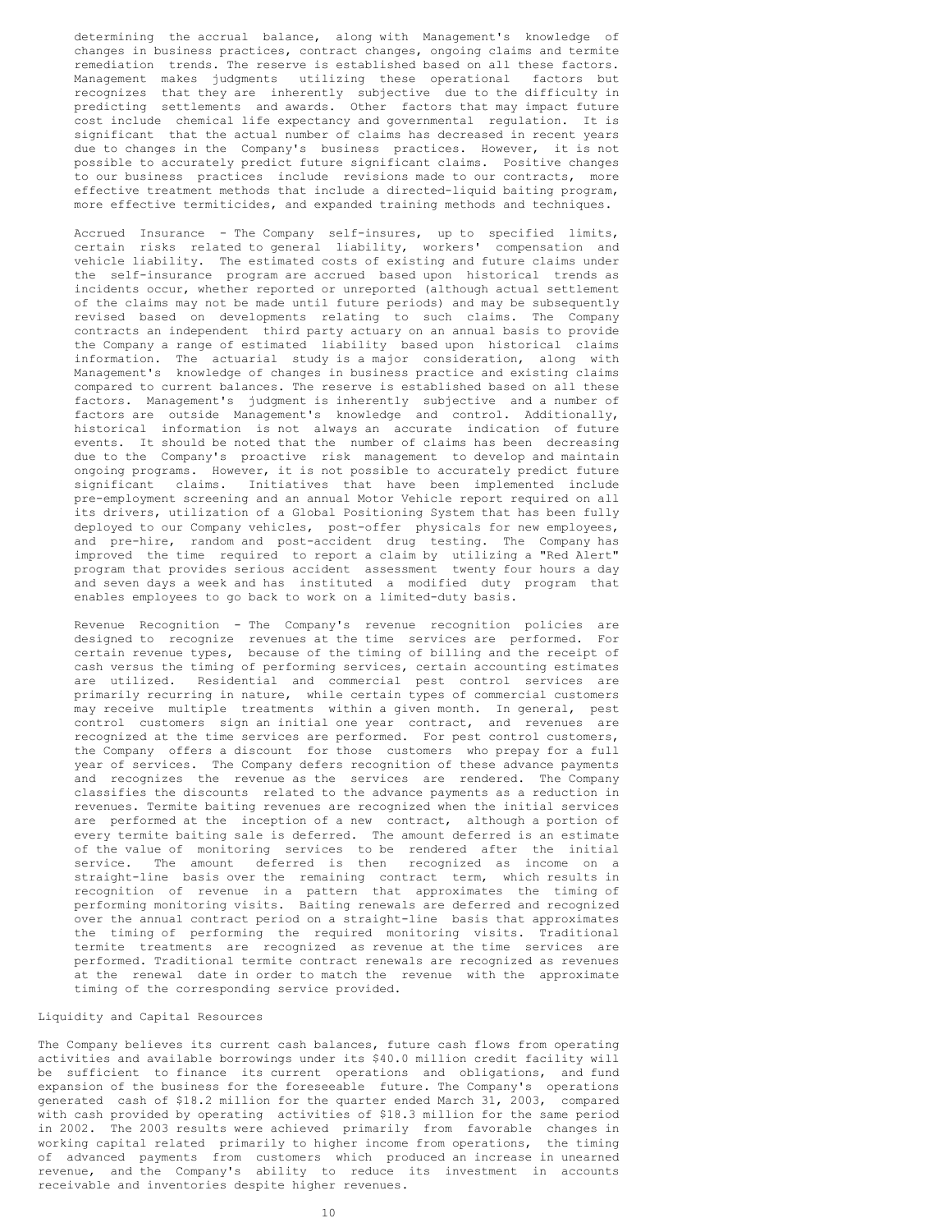determining the accrual balance, along with Management's knowledge of changes in business practices, contract changes, ongoing claims and termite remediation trends. The reserve is established based on all these factors. Management makes judgments utilizing these operational factors but recognizes that they are inherently subjective due to the difficulty in predicting settlements and awards. Other factors that may impact future cost include chemical life expectancy and governmental regulation. It is significant that the actual number of claims has decreased in recent years due to changes in the Company's business practices. However, it is not possible to accurately predict future significant claims. Positive changes to our business practices include revisions made to our contracts, more effective treatment methods that include a directed-liquid baiting program, more effective termiticides, and expanded training methods and techniques.

Accrued Insurance - The Company self-insures, up to specified limits, certain risks related to general liability, workers' compensation and vehicle liability. The estimated costs of existing and future claims under the self-insurance program are accrued based upon historical trends as incidents occur, whether reported or unreported (although actual settlement of the claims may not be made until future periods) and may be subsequently revised based on developments relating to such claims. The Company contracts an independent third party actuary on an annual basis to provide the Company a range of estimated liability based upon historical claims information. The actuarial study is a major consideration, along with Management's knowledge of changes in business practice and existing claims compared to current balances. The reserve is established based on all these factors. Management's judgment is inherently subjective and a number of factors are outside Management's knowledge and control. Additionally, historical information is not always an accurate indication of future events. It should be noted that the number of claims has been decreasing due to the Company's proactive risk management to develop and maintain ongoing programs. However, it is not possible to accurately predict future significant claims. Initiatives that have been implemented include pre-employment screening and an annual Motor Vehicle report required on all its drivers, utilization of a Global Positioning System that has been fully deployed to our Company vehicles, post-offer physicals for new employees, and pre-hire, random and post-accident drug testing. The Company has improved the time required to report a claim by utilizing a "Red Alert" program that provides serious accident assessment twenty four hours a day and seven days a week and has instituted a modified duty program that enables employees to go back to work on a limited-duty basis.

Revenue Recognition - The Company's revenue recognition policies are designed to recognize revenues at the time services are performed. For certain revenue types, because of the timing of billing and the receipt of cash versus the timing of performing services, certain accounting estimates are utilized. Residential and commercial pest control services are primarily recurring in nature, while certain types of commercial customers may receive multiple treatments within a given month. In general, pest control customers sign an initial one year contract, and revenues are recognized at the time services are performed. For pest control customers, the Company offers a discount for those customers who prepay for a full year of services. The Company defers recognition of these advance payments and recognizes the revenue as the services are rendered. The Company classifies the discounts related to the advance payments as a reduction in revenues. Termite baiting revenues are recognized when the initial services are performed at the inception of a new contract, although a portion of every termite baiting sale is deferred. The amount deferred is an estimate of the value of monitoring services to be rendered after the initial service. The amount deferred is then recognized as income on a straight-line basis over the remaining contract term, which results in recognition of revenue in a pattern that approximates the timing of performing monitoring visits. Baiting renewals are deferred and recognized over the annual contract period on a straight-line basis that approximates the timing of performing the required monitoring visits. Traditional termite treatments are recognized as revenue at the time services are performed. Traditional termite contract renewals are recognized as revenues at the renewal date in order to match the revenue with the approximate timing of the corresponding service provided.

#### Liquidity and Capital Resources

The Company believes its current cash balances, future cash flows from operating activities and available borrowings under its \$40.0 million credit facility will be sufficient to finance its current operations and obligations, and fund expansion of the business for the foreseeable future. The Company's operations generated cash of \$18.2 million for the quarter ended March 31, 2003, compared with cash provided by operating activities of \$18.3 million for the same period in 2002. The 2003 results were achieved primarily from favorable changes in working capital related primarily to higher income from operations, the timing of advanced payments from customers which produced an increase in unearned revenue, and the Company's ability to reduce its investment in accounts receivable and inventories despite higher revenues.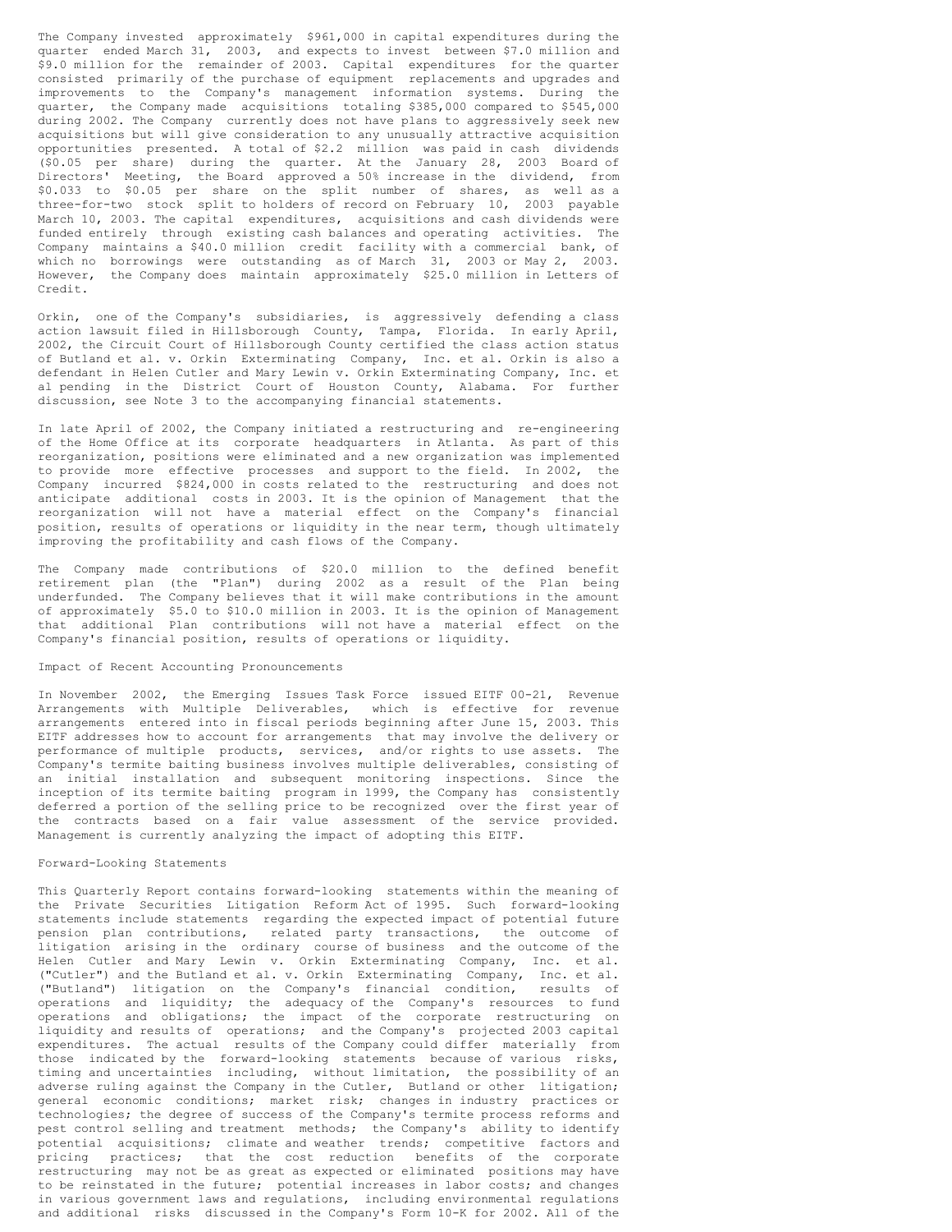The Company invested approximately \$961,000 in capital expenditures during the quarter ended March 31, 2003, and expects to invest between \$7.0 million and \$9.0 million for the remainder of 2003. Capital expenditures for the quarter consisted primarily of the purchase of equipment replacements and upgrades and improvements to the Company's management information systems. During the quarter, the Company made acquisitions totaling \$385,000 compared to \$545,000 during 2002. The Company currently does not have plans to aggressively seek new acquisitions but will give consideration to any unusually attractive acquisition opportunities presented. A total of \$2.2 million was paid in cash dividends (\$0.05 per share) during the quarter. At the January 28, 2003 Board of Directors' Meeting, the Board approved a 50% increase in the dividend, from \$0.033 to \$0.05 per share on the split number of shares, as well as a three-for-two stock split to holders of record on February 10, 2003 payable March 10, 2003. The capital expenditures, acquisitions and cash dividends were funded entirely through existing cash balances and operating activities. The Company maintains a \$40.0 million credit facility with a commercial bank, of which no borrowings were outstanding as of March 31, 2003 or May 2, 2003. However, the Company does maintain approximately \$25.0 million in Letters of Credit.

Orkin, one of the Company's subsidiaries, is aggressively defending a class action lawsuit filed in Hillsborough County, Tampa, Florida. In early April, 2002, the Circuit Court of Hillsborough County certified the class action status of Butland et al. v. Orkin Exterminating Company, Inc. et al. Orkin is also a defendant in Helen Cutler and Mary Lewin v. Orkin Exterminating Company, Inc. et al pending in the District Court of Houston County, Alabama. For further discussion, see Note 3 to the accompanying financial statements.

In late April of 2002, the Company initiated a restructuring and re-engineering of the Home Office at its corporate headquarters in Atlanta. As part of this reorganization, positions were eliminated and a new organization was implemented to provide more effective processes and support to the field. In 2002, the Company incurred \$824,000 in costs related to the restructuring and does not anticipate additional costs in 2003. It is the opinion of Management that the reorganization will not have a material effect on the Company's financial position, results of operations or liquidity in the near term, though ultimately improving the profitability and cash flows of the Company.

The Company made contributions of \$20.0 million to the defined benefit retirement plan (the "Plan") during 2002 as a result of the Plan being underfunded. The Company believes that it will make contributions in the amount of approximately \$5.0 to \$10.0 million in 2003. It is the opinion of Management that additional Plan contributions will not have a material effect on the Company's financial position, results of operations or liquidity.

### Impact of Recent Accounting Pronouncements

In November 2002, the Emerging Issues Task Force issued EITF 00-21, Revenue Arrangements with Multiple Deliverables, which is effective for revenue arrangements entered into in fiscal periods beginning after June 15, 2003. This EITF addresses how to account for arrangements that may involve the delivery or performance of multiple products, services, and/or rights to use assets. The Company's termite baiting business involves multiple deliverables, consisting of an initial installation and subsequent monitoring inspections. Since the inception of its termite baiting program in 1999, the Company has consistently deferred a portion of the selling price to be recognized over the first year of the contracts based on a fair value assessment of the service provided. Management is currently analyzing the impact of adopting this EITF.

# Forward-Looking Statements

This Quarterly Report contains forward-looking statements within the meaning of the Private Securities Litigation Reform Act of 1995. Such forward-looking statements include statements regarding the expected impact of potential future pension plan contributions, related party transactions, the outcome of litigation arising in the ordinary course of business and the outcome of the Helen Cutler and Mary Lewin v. Orkin Exterminating Company, Inc. et al. ("Cutler") and the Butland et al. v. Orkin Exterminating Company, Inc. et al. ("Butland") litigation on the Company's financial condition, results of operations and liquidity; the adequacy of the Company's resources to fund operations and obligations; the impact of the corporate restructuring on liquidity and results of operations; and the Company's projected 2003 capital expenditures. The actual results of the Company could differ materially from those indicated by the forward-looking statements because of various risks, timing and uncertainties including, without limitation, the possibility of an adverse ruling against the Company in the Cutler, Butland or other litigation; general economic conditions; market risk; changes in industry practices or technologies; the degree of success of the Company's termite process reforms and pest control selling and treatment methods; the Company's ability to identify potential acquisitions; climate and weather trends; competitive factors and pricing practices; that the cost reduction benefits of the corporate restructuring may not be as great as expected or eliminated positions may have to be reinstated in the future; potential increases in labor costs; and changes in various government laws and regulations, including environmental regulations and additional risks discussed in the Company's Form 10-K for 2002. All of the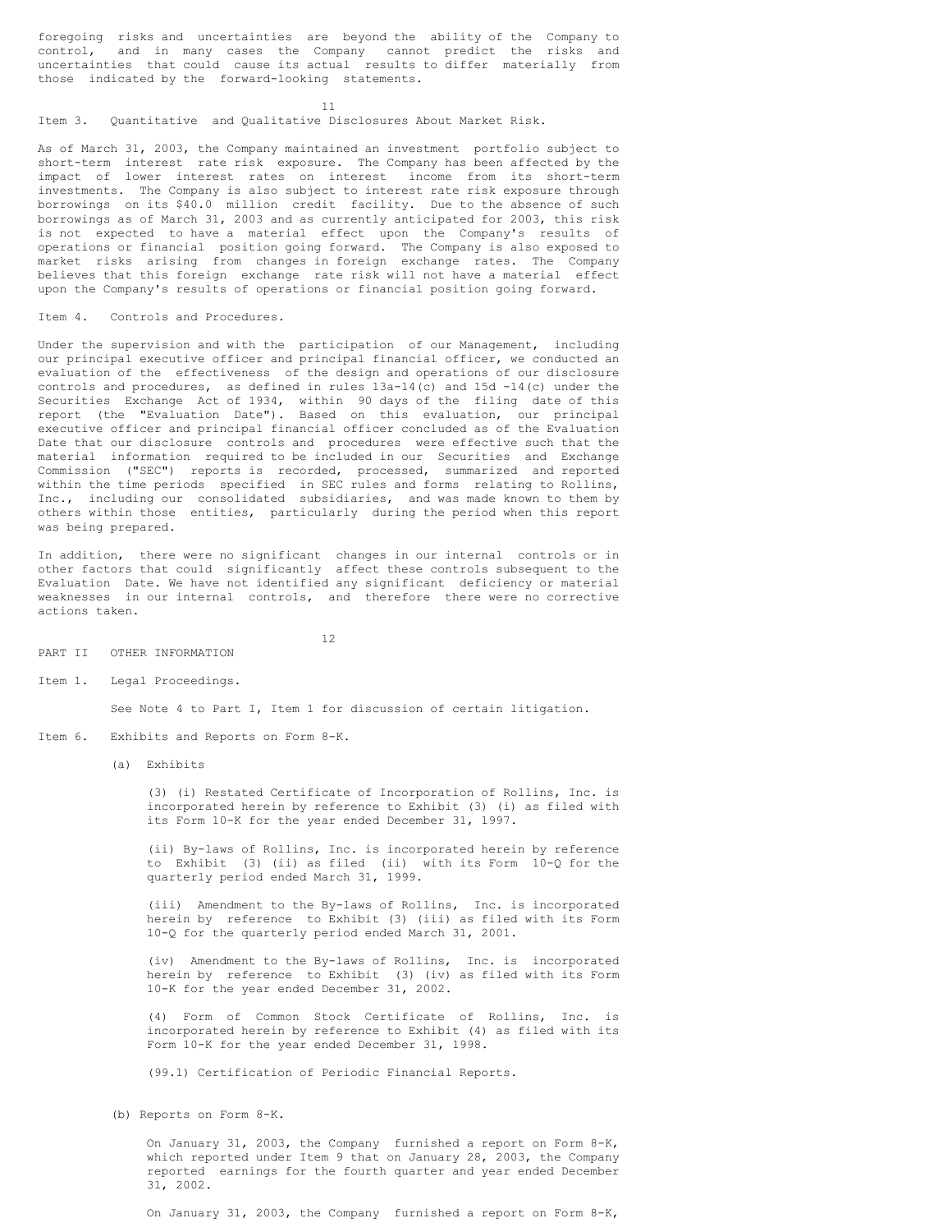foregoing risks and uncertainties are beyond the ability of the Company to control, and in many cases the Company cannot predict the risks and uncertainties that could cause its actual results to differ materially from those indicated by the forward-looking statements.

11

## Item 3. Quantitative and Qualitative Disclosures About Market Risk.

As of March 31, 2003, the Company maintained an investment portfolio subject to short-term interest rate risk exposure. The Company has been affected by the impact of lower interest rates on interest income from its short-term investments. The Company is also subject to interest rate risk exposure through borrowings on its \$40.0 million credit facility. Due to the absence of such borrowings as of March 31, 2003 and as currently anticipated for 2003, this risk is not expected to have a material effect upon the Company's results of operations or financial position going forward. The Company is also exposed to market risks arising from changes in foreign exchange rates. The Company believes that this foreign exchange rate risk will not have a material effect upon the Company's results of operations or financial position going forward.

#### Item 4. Controls and Procedures.

Under the supervision and with the participation of our Management, including our principal executive officer and principal financial officer, we conducted an evaluation of the effectiveness of the design and operations of our disclosure controls and procedures, as defined in rules 13a-14(c) and 15d -14(c) under the Securities Exchange Act of 1934, within 90 days of the filing date of this report (the "Evaluation Date"). Based on this evaluation, our principal executive officer and principal financial officer concluded as of the Evaluation Date that our disclosure controls and procedures were effective such that the material information required to be included in our Securities and Exchange Commission ("SEC") reports is recorded, processed, summarized and reported within the time periods specified in SEC rules and forms relating to Rollins, Inc., including our consolidated subsidiaries, and was made known to them by others within those entities, particularly during the period when this report was being prepared.

In addition, there were no significant changes in our internal controls or in other factors that could significantly affect these controls subsequent to the Evaluation Date. We have not identified any significant deficiency or material weaknesses in our internal controls, and therefore there were no corrective actions taken.

PART II OTHER INFORMATION

12

Item 1. Legal Proceedings.

See Note 4 to Part I, Item 1 for discussion of certain litigation.

- Item 6. Exhibits and Reports on Form 8-K.
	- (a) Exhibits

(3) (i) Restated Certificate of Incorporation of Rollins, Inc. is incorporated herein by reference to Exhibit (3) (i) as filed with its Form 10-K for the year ended December 31, 1997.

(ii) By-laws of Rollins, Inc. is incorporated herein by reference to Exhibit (3) (ii) as filed (ii) with its Form 10-Q for the quarterly period ended March 31, 1999.

(iii) Amendment to the By-laws of Rollins, Inc. is incorporated herein by reference to Exhibit (3) (iii) as filed with its Form 10-Q for the quarterly period ended March 31, 2001.

(iv) Amendment to the By-laws of Rollins, Inc. is incorporated herein by reference to Exhibit (3) (iv) as filed with its Form 10-K for the year ended December 31, 2002.

(4) Form of Common Stock Certificate of Rollins, Inc. is incorporated herein by reference to Exhibit (4) as filed with its Form 10-K for the year ended December 31, 1998.

(99.1) Certification of Periodic Financial Reports.

(b) Reports on Form 8-K.

On January 31, 2003, the Company furnished a report on Form 8-K, which reported under Item 9 that on January 28, 2003, the Company reported earnings for the fourth quarter and year ended December 31, 2002.

On January 31, 2003, the Company furnished a report on Form 8-K,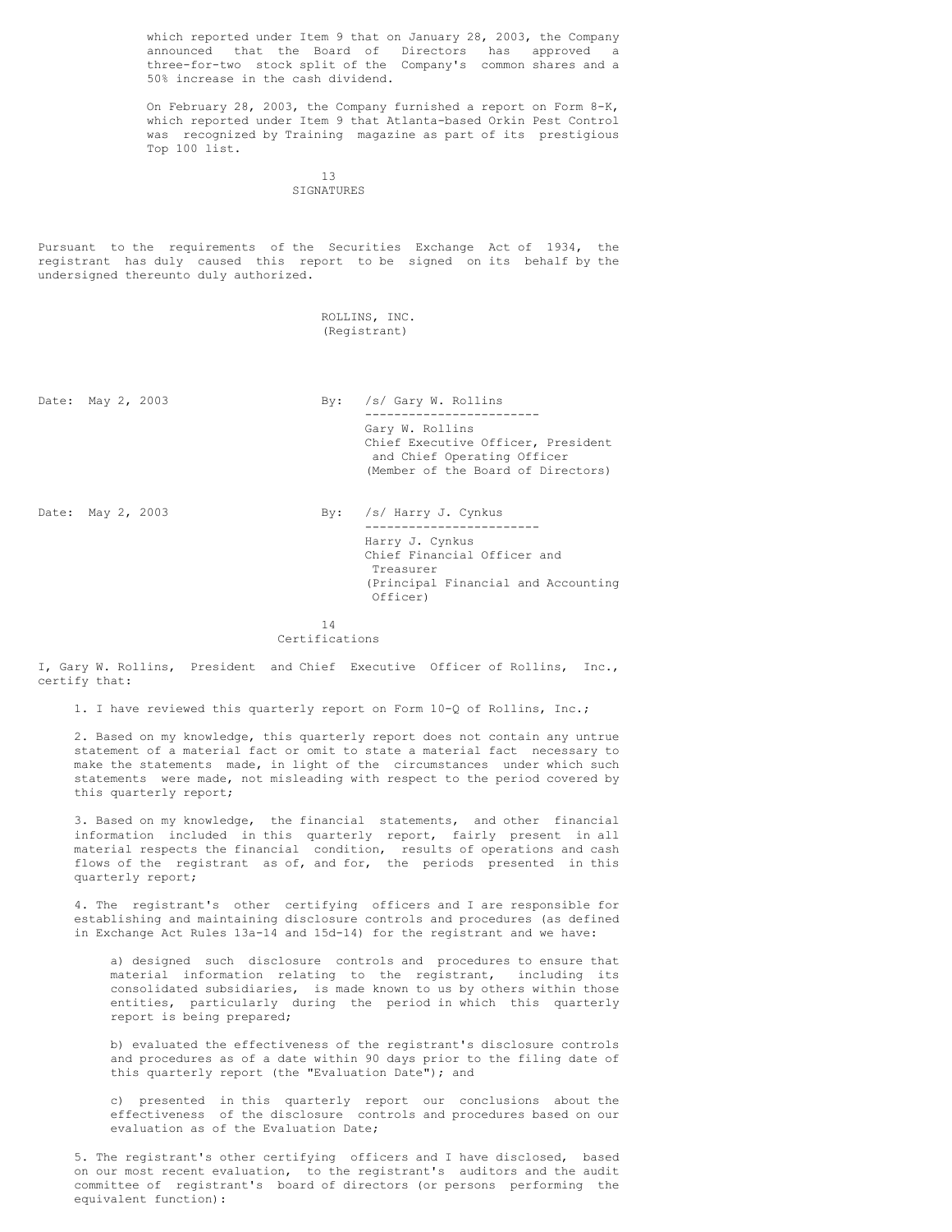which reported under Item 9 that on January 28, 2003, the Company announced that the Board of Directors has approved a three-for-two stock split of the Company's common shares and a 50% increase in the cash dividend.

On February 28, 2003, the Company furnished a report on Form 8-K, which reported under Item 9 that Atlanta-based Orkin Pest Control was recognized by Training magazine as part of its prestigious Top 100 list.

> 13 **SIGNATURES**

Pursuant to the requirements of the Securities Exchange Act of 1934, the registrant has duly caused this report to be signed on its behalf by the undersigned thereunto duly authorized.

> ROLLINS, INC. (Registrant)

Date: May 2, 2003 By: /s/ Gary W. Rollins ------------------------ Gary W. Rollins Chief Executive Officer, President and Chief Operating Officer (Member of the Board of Directors) Date: May 2, 2003 By: /s/ Harry J. Cynkus ------------------------ Harry J. Cynkus Chief Financial Officer and Treasurer

> 14 Certifications

Officer)

(Principal Financial and Accounting

I, Gary W. Rollins, President and Chief Executive Officer of Rollins, Inc., certify that:

1. I have reviewed this quarterly report on Form 10-Q of Rollins, Inc.;

2. Based on my knowledge, this quarterly report does not contain any untrue statement of a material fact or omit to state a material fact necessary to make the statements made, in light of the circumstances under which such statements were made, not misleading with respect to the period covered by this quarterly report;

3. Based on my knowledge, the financial statements, and other financial information included in this quarterly report, fairly present in all material respects the financial condition, results of operations and cash flows of the registrant as of, and for, the periods presented in this quarterly report;

4. The registrant's other certifying officers and I are responsible for establishing and maintaining disclosure controls and procedures (as defined in Exchange Act Rules 13a-14 and 15d-14) for the registrant and we have:

a) designed such disclosure controls and procedures to ensure that material information relating to the registrant, including its consolidated subsidiaries, is made known to us by others within those entities, particularly during the period in which this quarterly report is being prepared;

b) evaluated the effectiveness of the registrant's disclosure controls and procedures as of a date within 90 days prior to the filing date of this quarterly report (the "Evaluation Date"); and

c) presented in this quarterly report our conclusions about the effectiveness of the disclosure controls and procedures based on our evaluation as of the Evaluation Date;

5. The registrant's other certifying officers and I have disclosed, based on our most recent evaluation, to the registrant's auditors and the audit committee of registrant's board of directors (or persons performing the equivalent function):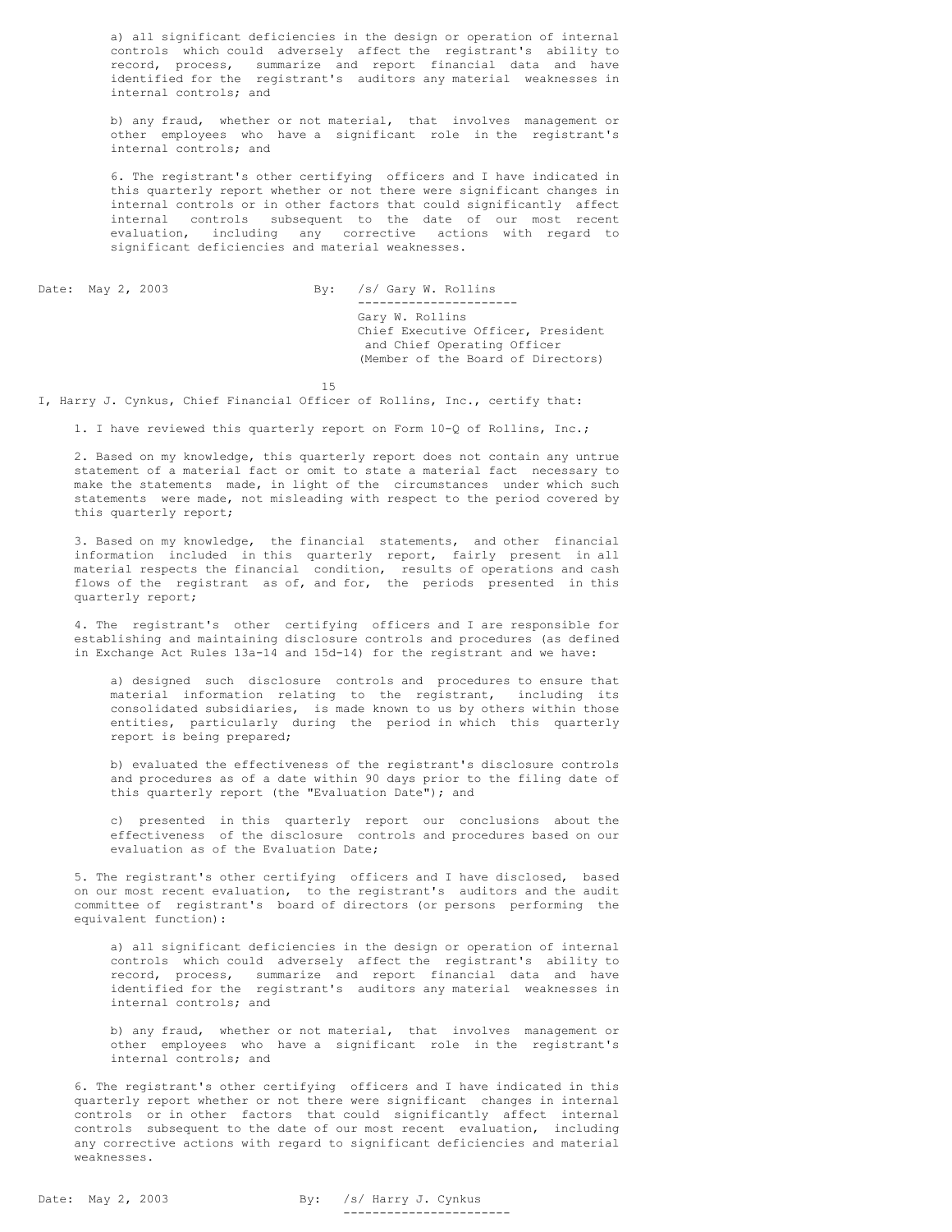a) all significant deficiencies in the design or operation of internal controls which could adversely affect the registrant's ability to record, process, summarize and report financial data and have identified for the registrant's auditors any material weaknesses in internal controls; and

b) any fraud, whether or not material, that involves management or other employees who have a significant role in the registrant's internal controls; and

6. The registrant's other certifying officers and I have indicated in this quarterly report whether or not there were significant changes in internal controls or in other factors that could significantly affect internal controls subsequent to the date of our most recent evaluation, including any corrective actions with regard to significant deficiencies and material weaknesses.

Date: May 2, 2003 By: /s/ Gary W. Rollins ---------------------- Gary W. Rollins Chief Executive Officer, President and Chief Operating Officer (Member of the Board of Directors)

15

I, Harry J. Cynkus, Chief Financial Officer of Rollins, Inc., certify that:

1. I have reviewed this quarterly report on Form 10-Q of Rollins, Inc.;

2. Based on my knowledge, this quarterly report does not contain any untrue statement of a material fact or omit to state a material fact necessary to make the statements made, in light of the circumstances under which such statements were made, not misleading with respect to the period covered by this quarterly report;

3. Based on my knowledge, the financial statements, and other financial information included in this quarterly report, fairly present in all material respects the financial condition, results of operations and cash flows of the registrant as of, and for, the periods presented in this quarterly report;

4. The registrant's other certifying officers and I are responsible for establishing and maintaining disclosure controls and procedures (as defined in Exchange Act Rules 13a-14 and 15d-14) for the registrant and we have:

a) designed such disclosure controls and procedures to ensure that material information relating to the registrant, including its consolidated subsidiaries, is made known to us by others within those entities, particularly during the period in which this quarterly report is being prepared;

b) evaluated the effectiveness of the registrant's disclosure controls and procedures as of a date within 90 days prior to the filing date of this quarterly report (the "Evaluation Date"); and

c) presented in this quarterly report our conclusions about the effectiveness of the disclosure controls and procedures based on our evaluation as of the Evaluation Date;

5. The registrant's other certifying officers and I have disclosed, based on our most recent evaluation, to the registrant's auditors and the audit committee of registrant's board of directors (or persons performing the equivalent function):

a) all significant deficiencies in the design or operation of internal controls which could adversely affect the registrant's ability to record, process, summarize and report financial data and have identified for the registrant's auditors any material weaknesses in internal controls; and

b) any fraud, whether or not material, that involves management or other employees who have a significant role in the registrant's internal controls; and

6. The registrant's other certifying officers and I have indicated in this quarterly report whether or not there were significant changes in internal controls or in other factors that could significantly affect internal controls subsequent to the date of our most recent evaluation, including any corrective actions with regard to significant deficiencies and material weaknesses.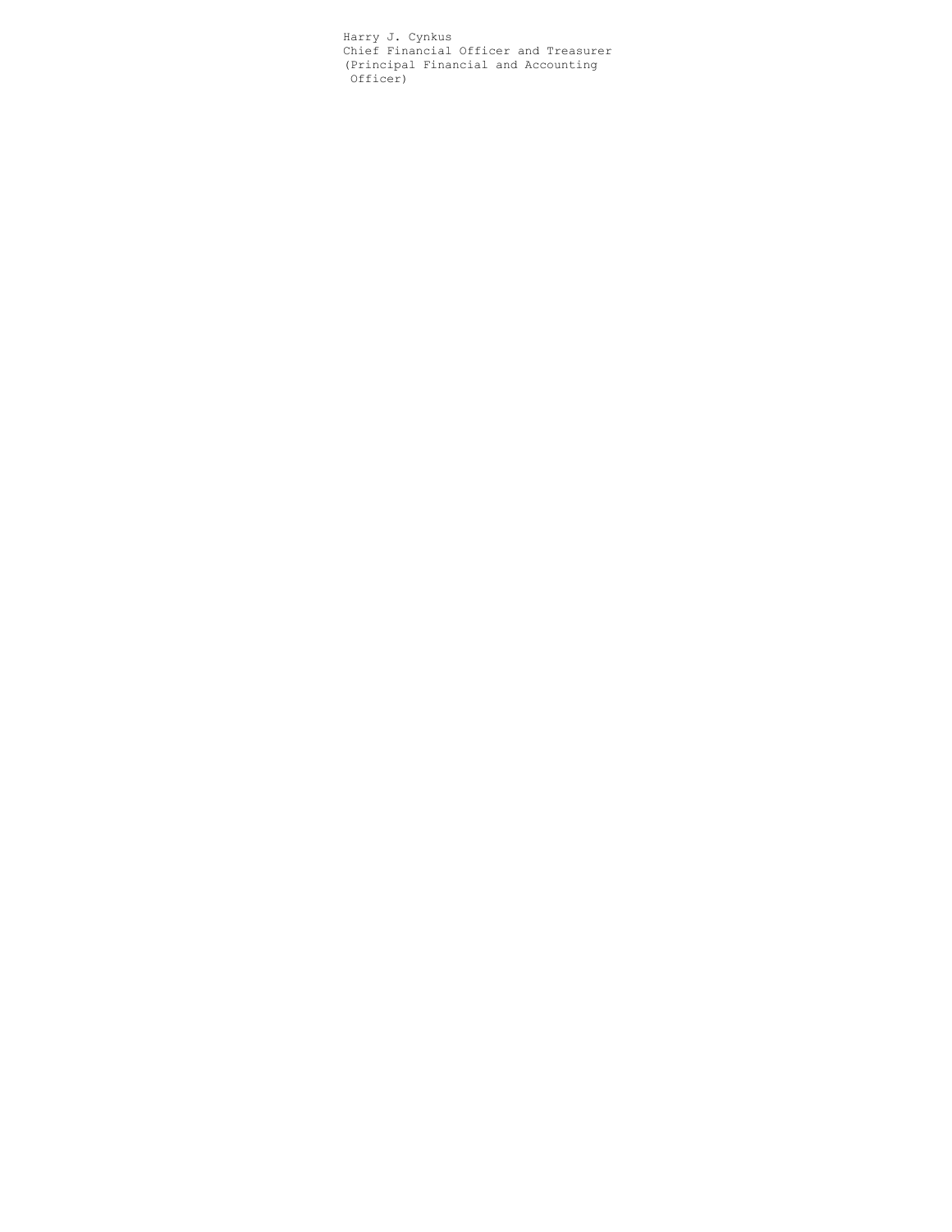Harry J. Cynkus Chief Financial Officer and Treasurer (Principal Financial and Accounting Officer)